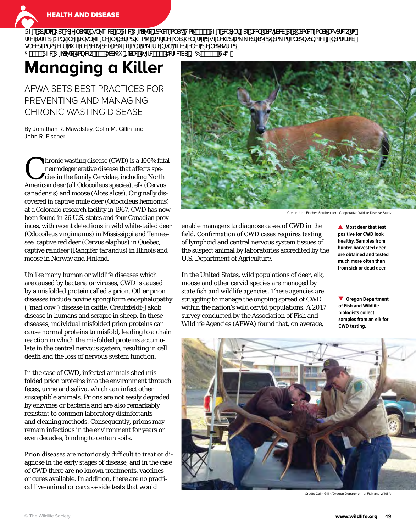

**HEALTH AND DISEASE** 

FZ[eSdf[UW SeadY]`S^kbgT^[eZW[`FZW ['V'[XVBcbX&e'a`S<sup>3</sup>Ha^ž#%&eFZ[edMd]`fZSeTWUbdah[WVSeSbdaX&e'a`S^UagdN&k fa fZWsgfZadź5abk[`Y1dMgTY[eZ[`Y[`bSdFadi Za^Mbaef[`Ya`Si We[fWadge[`YXadUa\_\_WU[S^adbda\_af[a`S^bgcbaeW[ebdafWW g`WWILiabkd[YZf'Si eS`VdWg[dWbWL [ee[a`Xb\_fZWbgT'[eZWeS`VadYi`S^SgfZacE  $\bar{A}S'$ # FZW [V[XWEaU MKH & S4S dSdai BSUM Eg[fWS" ' H4 MZ MASH ? 6 S' \* #& GE3  $\check{z}$ 

## **Managing a Killer**

AFWA SETS BEST PRACTICES FOR PREVENTING AND MANAGING CHRONIC WASTING DISEASE

By Jonathan R. Mawdsley, Colin M. Gillin and John R. Fischer

Internative disease (CWD) is a 100% fatal<br>
neurodegenerative disease that affects species in the family Cervidae, including North<br>
American deep (ell Odeseilaus mesies) ell (Cervice neurodegenerative disease that affects spe-American deer (all *Odocoileus* species), elk (*Cervus canadensis*) and moose (*Alces alces*). Originally discovered in captive mule deer (*Odocoileus hemionus*) at a Colorado research facility in 1967, CWD has now been found in 26 U.S. states and four Canadian provinces, with recent detections in wild white-tailed deer (*Odocoileus virginianus*) in Mississippi and Tennessee, captive red deer (*Cervus elaphus*) in Quebec, captive reindeer (*Rangifer tarandus*) in Illinois and moose in Norway and Finland.

Unlike many human or wildlife diseases which are caused by bacteria or viruses, CWD is caused by a misfolded protein called a prion. Other prion diseases include bovine spongiform encephalopathy ("mad cow") disease in cattle, Creutzfeldt-Jakob disease in humans and scrapie in sheep. In these diseases, individual misfolded prion proteins can cause normal proteins to misfold, leading to a chain reaction in which the misfolded proteins accumulate in the central nervous system, resulting in cell death and the loss of nervous system function.

In the case of CWD, infected animals shed misfolded prion proteins into the environment through feces, urine and saliva, which can infect other susceptible animals. Prions are not easily degraded by enzymes or bacteria and are also remarkably resistant to common laboratory disinfectants and cleaning methods. Consequently, prions may remain infectious in the environment for years or even decades, binding to certain soils.

Prion diseases are notoriously difficult to treat or diagnose in the early stages of disease, and in the case of CWD there are no known treatments, vaccines or cures available. In addition, there are no practical live-animal or carcass-side tests that would



Credit: John Fischer, Southeastern Cooperative Wildlife Disease Study

enable managers to diagnose cases of CWD in the field. Confirmation of CWD cases requires testing of lymphoid and central nervous system tissues of the suspect animal by laboratories accredited by the U.S. Department of Agriculture.

In the United States, wild populations of deer, elk, moose and other cervid species are managed by state fish and wildlife agencies. These agencies are struggling to manage the ongoing spread of CWD within the nation's wild cervid populations. A 2017 survey conducted by the Association of Fish and Wildlife Agencies (AFWA) found that, on average,

**A** Most deer that test **positive for CWD look healthy. Samples from hunter-harvested deer are obtained and tested much more often than from sick or dead deer.**

**Oregon Department of Fish and Wildlife biologists collect samples from an elk for CWD testing.**



Credit: Colin Gillin/Oregon Department of Fish and Wildlife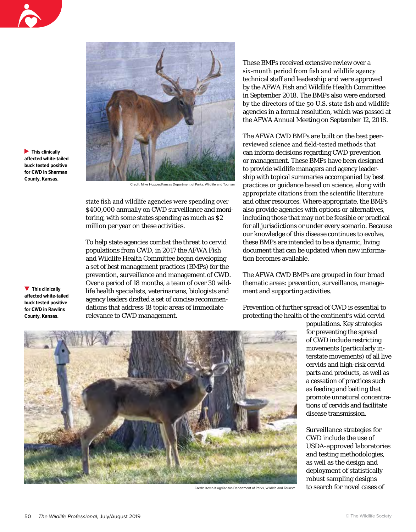

**This clinically affected white-tailed buck tested positive for CWD in Sherman County, Kansas.**



Credit: Mike Hopper/Kansas Department of Parks, Wildlife and Touris

state fish and wildlife agencies were spending over \$400,000 annually on CWD surveillance and monitoring, with some states spending as much as \$2 million per year on these activities.

To help state agencies combat the threat to cervid populations from CWD, in 2017 the AFWA Fish and Wildlife Health Committee began developing a set of best management practices (BMPs) for the prevention, surveillance and management of CWD. Over a period of 18 months, a team of over 30 wildlife health specialists, veterinarians, biologists and agency leaders drafted a set of concise recommendations that address 18 topic areas of immediate relevance to CWD management.

**This clinically affected white-tailed buck tested positive for CWD in Rawlins County, Kansas.**

These BMPs received extensive review over a six-month period from fish and wildlife agency technical staff and leadership and were approved by the AFWA Fish and Wildlife Health Committee in September 2018. The BMPs also were endorsed by the directors of the 50 U.S. state fish and wildlife agencies in a formal resolution, which was passed at the AFWA Annual Meeting on September 12, 2018.

The AFWA CWD BMPs are built on the best peerreviewed science and field-tested methods that can inform decisions regarding CWD prevention or management. These BMPs have been designed to provide wildlife managers and agency leadership with topical summaries accompanied by best practices or guidance based on science, along with appropriate citations from the scientific literature and other resources. Where appropriate, the BMPs also provide agencies with options or alternatives, including those that may not be feasible or practical for all jurisdictions or under every scenario. Because our knowledge of this disease continues to evolve, these BMPs are intended to be a dynamic, living document that can be updated when new information becomes available.

The AFWA CWD BMPs are grouped in four broad thematic areas: prevention, surveillance, management and supporting activities.

Prevention of further spread of CWD is essential to protecting the health of the continent's wild cervid

populations. Key strategies for preventing the spread of CWD include restricting movements (particularly interstate movements) of all live cervids and high-risk cervid parts and products, as well as a cessation of practices such as feeding and baiting that promote unnatural concentrations of cervids and facilitate disease transmission.

Surveillance strategies for CWD include the use of USDA-approved laboratories and testing methodologies, as well as the design and deployment of statistically robust sampling designs to search for novel cases of



Credit: Kevin Klag/Kansas Department of Parks, Wildlife and Tourism